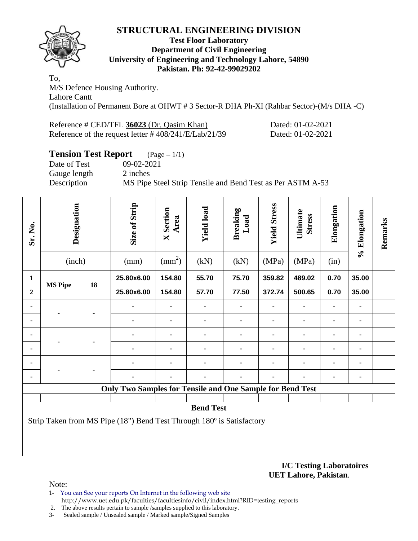

#### **Test Floor Laboratory Department of Civil Engineering University of Engineering and Technology Lahore, 54890 Pakistan. Ph: 92-42-99029202**

To, M/S Defence Housing Authority. Lahore Cantt (Installation of Permanent Bore at OHWT # 3 Sector-R DHA Ph-XI (Rahbar Sector)-(M/s DHA -C)

| Reference # CED/TFL 36023 (Dr. Qasim Khan)               | Dated: 01-02-2021 |
|----------------------------------------------------------|-------------------|
| Reference of the request letter $\# 408/241/E/Lab/21/39$ | Dated: 01-02-2021 |

# **Tension Test Report** (Page – 1/1)

Date of Test 09-02-2021 Gauge length 2 inches Description MS Pipe Steel Strip Tensile and Bend Test as Per ASTM A-53

| Sr. No.        | Designation<br>(inch)                                                 |    | Size of Strip<br>(mm)                                            | <b>X</b> Section<br>Area<br>$\text{(mm}^2)$ | <b>Yield load</b><br>(kN) | <b>Breaking</b><br>Load<br>(kN) | <b>Yield Stress</b><br>(MPa) | Ultimate<br><b>Stress</b><br>(MPa) | Elongation<br>(in) | % Elongation | Remarks |
|----------------|-----------------------------------------------------------------------|----|------------------------------------------------------------------|---------------------------------------------|---------------------------|---------------------------------|------------------------------|------------------------------------|--------------------|--------------|---------|
|                |                                                                       |    |                                                                  |                                             |                           |                                 |                              |                                    |                    |              |         |
| 1              | <b>MS Pipe</b>                                                        | 18 | 25.80x6.00                                                       | 154.80                                      | 55.70                     | 75.70                           | 359.82                       | 489.02                             | 0.70               | 35.00        |         |
| $\overline{2}$ |                                                                       |    | 25.80x6.00                                                       | 154.80                                      | 57.70                     | 77.50                           | 372.74                       | 500.65                             | 0.70               | 35.00        |         |
|                |                                                                       |    |                                                                  |                                             |                           |                                 |                              |                                    |                    |              |         |
|                |                                                                       |    |                                                                  |                                             |                           |                                 |                              |                                    |                    |              |         |
|                |                                                                       |    |                                                                  |                                             |                           |                                 |                              |                                    |                    |              |         |
|                |                                                                       |    |                                                                  |                                             |                           |                                 |                              |                                    |                    |              |         |
|                |                                                                       |    |                                                                  |                                             |                           |                                 |                              |                                    |                    |              |         |
|                |                                                                       |    |                                                                  |                                             |                           |                                 |                              |                                    |                    |              |         |
|                |                                                                       |    | <b>Only Two Samples for Tensile and One Sample for Bend Test</b> |                                             |                           |                                 |                              |                                    |                    |              |         |
|                |                                                                       |    |                                                                  |                                             |                           |                                 |                              |                                    |                    |              |         |
|                |                                                                       |    |                                                                  |                                             | <b>Bend Test</b>          |                                 |                              |                                    |                    |              |         |
|                | Strip Taken from MS Pipe (18") Bend Test Through 180° is Satisfactory |    |                                                                  |                                             |                           |                                 |                              |                                    |                    |              |         |
|                |                                                                       |    |                                                                  |                                             |                           |                                 |                              |                                    |                    |              |         |
|                |                                                                       |    |                                                                  |                                             |                           |                                 |                              |                                    |                    |              |         |

**I/C Testing Laboratoires UET Lahore, Pakistan**.

- 1- You can See your reports On Internet in the following web site http://www.uet.edu.pk/faculties/facultiesinfo/civil/index.html?RID=testing\_reports
- 2. The above results pertain to sample /samples supplied to this laboratory.
- 3- Sealed sample / Unsealed sample / Marked sample/Signed Samples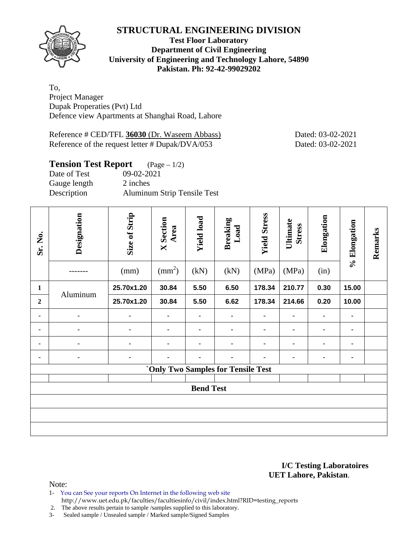

#### **Test Floor Laboratory Department of Civil Engineering University of Engineering and Technology Lahore, 54890 Pakistan. Ph: 92-42-99029202**

To, Project Manager Dupak Properaties (Pvt) Ltd Defence view Apartments at Shanghai Road, Lahore

Reference # CED/TFL **36030** (Dr. Waseem Abbass) Dated: 03-02-2021 Reference of the request letter # Dupak/DVA/053 Dated: 03-02-2021

| <b>Tension Test Report</b> $(Page-1/2)$ |                                    |
|-----------------------------------------|------------------------------------|
| Date of Test                            | 09-02-2021                         |
| Gauge length                            | 2 inches                           |
| Description                             | <b>Aluminum Strip Tensile Test</b> |

| Sr. No.        | Designation    | Size of Strip<br>(mm) | <b>X</b> Section<br>Area<br>$\text{(mm}^2)$ | <b>Yield load</b><br>(kN) | <b>Breaking</b><br>Load<br>(kN)           | <b>Yield Stress</b><br>(MPa) | Ultimate<br><b>Stress</b><br>(MPa) | Elongation<br>(in) | % Elongation | Remarks |
|----------------|----------------|-----------------------|---------------------------------------------|---------------------------|-------------------------------------------|------------------------------|------------------------------------|--------------------|--------------|---------|
| $\mathbf{1}$   |                | 25.70x1.20            | 30.84                                       | 5.50                      | 6.50                                      | 178.34                       | 210.77                             | 0.30               | 15.00        |         |
| $\overline{2}$ | Aluminum       | 25.70x1.20            | 30.84                                       | 5.50                      | 6.62                                      | 178.34                       | 214.66                             | 0.20               | 10.00        |         |
| ٠              | ۰              | ٠                     |                                             | $\blacksquare$            | ٠                                         |                              | ٠                                  |                    | ۰            |         |
|                | $\blacksquare$ | $\blacksquare$        | ٠                                           | $\blacksquare$            | ٠                                         |                              | ٠                                  | ٠                  | ٠            |         |
| ٠              | ۰              | ٠                     | ٠                                           | ٠                         | ٠                                         | ۰                            | ٠                                  | $\blacksquare$     | ۰            |         |
|                | $\blacksquare$ | $\blacksquare$        |                                             | ٠                         | ٠                                         |                              |                                    | ٠                  | ۰            |         |
|                |                |                       |                                             |                           | <b>`Only Two Samples for Tensile Test</b> |                              |                                    |                    |              |         |
|                |                |                       |                                             | <b>Bend Test</b>          |                                           |                              |                                    |                    |              |         |
|                |                |                       |                                             |                           |                                           |                              |                                    |                    |              |         |
|                |                |                       |                                             |                           |                                           |                              |                                    |                    |              |         |
|                |                |                       |                                             |                           |                                           |                              |                                    |                    |              |         |

#### **I/C Testing Laboratoires UET Lahore, Pakistan**.

- 1- You can See your reports On Internet in the following web site http://www.uet.edu.pk/faculties/facultiesinfo/civil/index.html?RID=testing\_reports
- 2. The above results pertain to sample /samples supplied to this laboratory.
- 3- Sealed sample / Unsealed sample / Marked sample/Signed Samples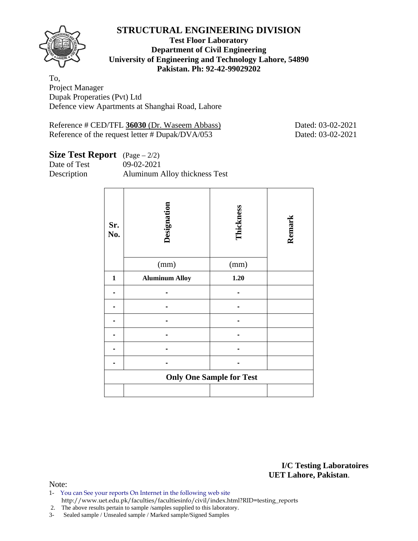

#### **Test Floor Laboratory Department of Civil Engineering University of Engineering and Technology Lahore, 54890 Pakistan. Ph: 92-42-99029202**

To, Project Manager Dupak Properaties (Pvt) Ltd Defence view Apartments at Shanghai Road, Lahore

Reference # CED/TFL **36030** (Dr. Waseem Abbass) Dated: 03-02-2021 Reference of the request letter # Dupak/DVA/053 Dated: 03-02-2021

# **Size Test Report** (Page – 2/2)

Date of Test 09-02-2021 Description Aluminum Alloy thickness Test

| Sr.<br>No.   | Designation           | Thickness                       | Remark |
|--------------|-----------------------|---------------------------------|--------|
|              | (mm)                  | (mm)                            |        |
| $\mathbf{1}$ | <b>Aluminum Alloy</b> | 1.20                            |        |
|              |                       |                                 |        |
|              |                       |                                 |        |
|              |                       |                                 |        |
|              |                       |                                 |        |
|              |                       |                                 |        |
|              |                       |                                 |        |
|              |                       | <b>Only One Sample for Test</b> |        |
|              |                       |                                 |        |

**I/C Testing Laboratoires UET Lahore, Pakistan**.

- 1- You can See your reports On Internet in the following web site http://www.uet.edu.pk/faculties/facultiesinfo/civil/index.html?RID=testing\_reports
- 2. The above results pertain to sample /samples supplied to this laboratory.
- 3- Sealed sample / Unsealed sample / Marked sample/Signed Samples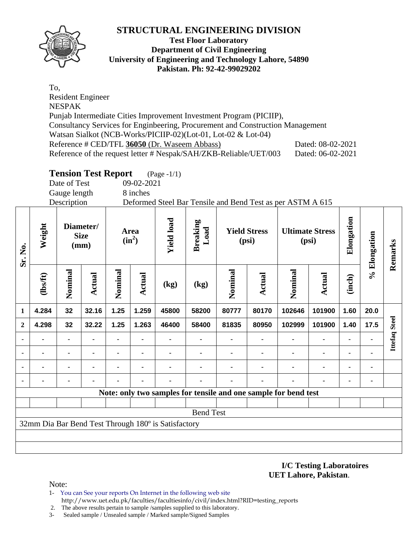

#### **Test Floor Laboratory Department of Civil Engineering University of Engineering and Technology Lahore, 54890 Pakistan. Ph: 92-42-99029202**

To, Resident Engineer NESPAK Punjab Intermediate Cities Improvement Investment Program (PICIIP), Consultancy Services for Enginbeering, Procurement and Construction Management Watsan Sialkot (NCB-Works/PICIIP-02)(Lot-01, Lot-02 & Lot-04) Reference # CED/TFL 36050 (Dr. Waseem Abbass) Dated: 08-02-2021 Reference of the request letter # Nespak/SAH/ZKB-Reliable/UET/003 Dated: 06-02-2021

# **Tension Test Report** (Page -1/1)

Date of Test 09-02-2021

Gauge length 8 inches Description Deformed Steel Bar Tensile and Bend Test as per ASTM A 615

| Sr. No.      | Weight  |                | Diameter/<br><b>Size</b><br>(mm) |                | Area<br>$(in^2)$ | <b>Yield load</b>                                   | <b>Breaking</b><br>Load                                         |         | <b>Yield Stress</b><br>(psi) |         | <b>Ultimate Stress</b><br>(psi) |                | % Elongation | Remarks              |
|--------------|---------|----------------|----------------------------------|----------------|------------------|-----------------------------------------------------|-----------------------------------------------------------------|---------|------------------------------|---------|---------------------------------|----------------|--------------|----------------------|
|              | (1bsft) | Nominal        | Actual                           | Nominal        | Actual           | (kg)                                                | (kg)                                                            | Nominal | <b>Actual</b>                | Nominal | <b>Actual</b>                   | (inch)         |              |                      |
| 1            | 4.284   | 32             | 32.16                            | 1.25           | 1.259            | 45800                                               | 58200                                                           | 80777   | 80170                        | 102646  | 101900                          | 1.60           | 20.0         |                      |
| $\mathbf{2}$ | 4.298   | 32             | 32.22                            | 1.25           | 1.263            | 46400                                               | 58400                                                           | 81835   | 80950                        | 102999  | 101900                          | 1.40           | 17.5         |                      |
|              |         | ۰              |                                  | ٠              |                  |                                                     |                                                                 |         |                              |         | $\blacksquare$                  | $\blacksquare$ |              | <b>Ittefaq Steel</b> |
|              |         | ۰              |                                  |                | ٠                |                                                     |                                                                 |         |                              |         | $\blacksquare$                  | $\blacksquare$ | ۰            |                      |
|              |         | $\blacksquare$ |                                  | $\blacksquare$ | $\blacksquare$   |                                                     |                                                                 |         |                              |         | $\blacksquare$                  | $\blacksquare$ | ۰            |                      |
|              |         | ۰              |                                  |                | ٠                |                                                     |                                                                 |         |                              |         | ٠                               | ٠              |              |                      |
|              |         |                |                                  |                |                  |                                                     | Note: only two samples for tensile and one sample for bend test |         |                              |         |                                 |                |              |                      |
|              |         |                |                                  |                |                  |                                                     |                                                                 |         |                              |         |                                 |                |              |                      |
|              |         |                |                                  |                |                  |                                                     | <b>Bend Test</b>                                                |         |                              |         |                                 |                |              |                      |
|              |         |                |                                  |                |                  | 32mm Dia Bar Bend Test Through 180° is Satisfactory |                                                                 |         |                              |         |                                 |                |              |                      |
|              |         |                |                                  |                |                  |                                                     |                                                                 |         |                              |         |                                 |                |              |                      |
|              |         |                |                                  |                |                  |                                                     |                                                                 |         |                              |         |                                 |                |              |                      |

**I/C Testing Laboratoires UET Lahore, Pakistan**.

- 1- You can See your reports On Internet in the following web site http://www.uet.edu.pk/faculties/facultiesinfo/civil/index.html?RID=testing\_reports
- 2. The above results pertain to sample /samples supplied to this laboratory.
- 3- Sealed sample / Unsealed sample / Marked sample/Signed Samples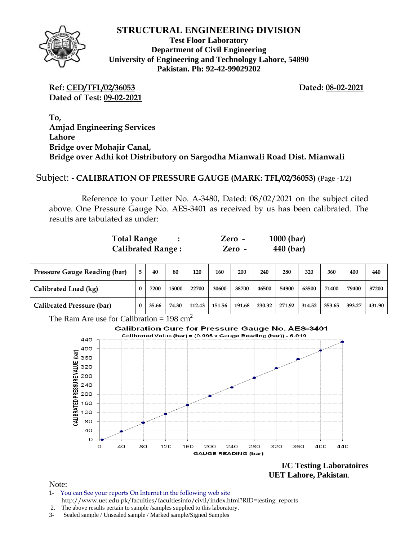

**Test Floor Laboratory Department of Civil Engineering University of Engineering and Technology Lahore, 54890 Pakistan. Ph: 92-42-99029202** 

**Ref: CED/TFL/02/36053 Dated: 08-02-2021 Dated of Test: 09-02-2021**

**To, Amjad Engineering Services Lahore Bridge over Mohajir Canal, Bridge over Adhi kot Distributory on Sargodha Mianwali Road Dist. Mianwali** 

Subject: **- CALIBRATION OF PRESSURE GAUGE (MARK: TFL/02/36053)** (Page -1/2)

Reference to your Letter No. A-3480, Dated: 08/02/2021 on the subject cited above. One Pressure Gauge No. AES-3401 as received by us has been calibrated. The results are tabulated as under:

| <b>Total Range</b>       | Zero - | $1000$ (bar) |
|--------------------------|--------|--------------|
| <b>Calibrated Range:</b> | Zero - | 440 (bar)    |

| <b>Pressure Gauge Reading (bar)</b> |   | 40    | 80    | 120    | 160    | 200    | 240    | 280    | 320    | 360    | 400    | 440    |
|-------------------------------------|---|-------|-------|--------|--------|--------|--------|--------|--------|--------|--------|--------|
| Calibrated Load (kg)                | 0 | 7200  | 15000 | 22700  | 30600  | 38700  | 46500  | 54900  | 63500  | 71400  | 79400  | 87200  |
| Calibrated Pressure (bar)           |   | 35.66 | 74.30 | 112.43 | 151.56 | 191.68 | 230.32 | 271.92 | 314.52 | 353.65 | 393.27 | 431.90 |

The Ram Are use for Calibration =  $198 \text{ cm}^2$ 

**Calibration Cure for Pressure Gauge No. AES-3401** Calibrated Value (bar) = (0.995 x Gauge Reading (bar)) - 6.019 440 400 (bar) 360 CALIBRATED PRESSURE VALUE 320 280 240 200 160 120 80 40  $\circ$ 160 320 360 400 440  $\Omega$ 40  $80$ 120 200  $240$ 280 **GAUGE READING (bar)** 

**I/C Testing Laboratoires UET Lahore, Pakistan**.

- 1- You can See your reports On Internet in the following web site http://www.uet.edu.pk/faculties/facultiesinfo/civil/index.html?RID=testing\_reports
- 2. The above results pertain to sample /samples supplied to this laboratory.
- 3- Sealed sample / Unsealed sample / Marked sample/Signed Samples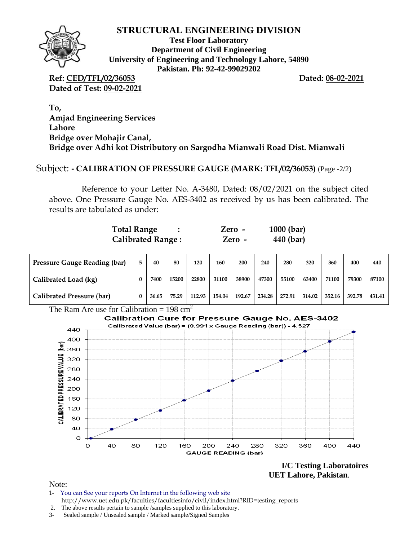

**Test Floor Laboratory Department of Civil Engineering University of Engineering and Technology Lahore, 54890 Pakistan. Ph: 92-42-99029202** 

**Ref: CED/TFL/02/36053 Dated: 08-02-2021 Dated of Test: 09-02-2021**

**To, Amjad Engineering Services Lahore Bridge over Mohajir Canal, Bridge over Adhi kot Distributory on Sargodha Mianwali Road Dist. Mianwali** 

#### Subject: **- CALIBRATION OF PRESSURE GAUGE (MARK: TFL/02/36053)** (Page -2/2)

Reference to your Letter No. A-3480, Dated: 08/02/2021 on the subject cited above. One Pressure Gauge No. AES-3402 as received by us has been calibrated. The results are tabulated as under:

| <b>Total Range</b>       | Zero - | $1000$ (bar) |
|--------------------------|--------|--------------|
| <b>Calibrated Range:</b> | Zero - | 440 (bar)    |

| <b>Pressure Gauge Reading (bar)</b> |          | 40    | 80    | 120    | 160    | 200    | 240    | 280    | 320    | 360    | 400    | 440    |
|-------------------------------------|----------|-------|-------|--------|--------|--------|--------|--------|--------|--------|--------|--------|
| Calibrated Load (kg)                | $\bf{0}$ | 7400  | 15200 | 22800  | 31100  | 38900  | 47300  | 55100  | 63400  | 71100  | 79300  | 87100  |
| Calibrated Pressure (bar)           |          | 36.65 | 75.29 | 112.93 | 154.04 | 192.67 | 234.28 | 272.91 | 314.02 | 352.16 | 392.78 | 431.41 |



**I/C Testing Laboratoires UET Lahore, Pakistan**.

- 1- You can See your reports On Internet in the following web site http://www.uet.edu.pk/faculties/facultiesinfo/civil/index.html?RID=testing\_reports
- 2. The above results pertain to sample /samples supplied to this laboratory.
- 3- Sealed sample / Unsealed sample / Marked sample/Signed Samples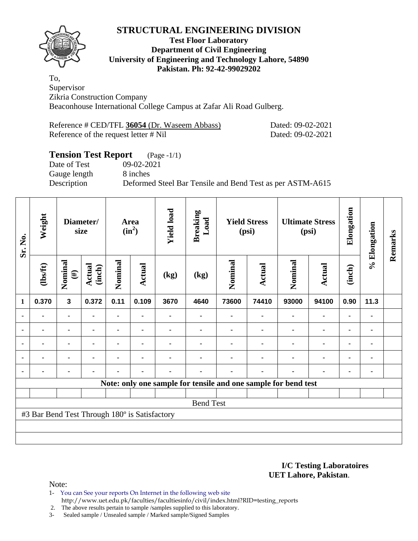#### **Test Floor Laboratory Department of Civil Engineering University of Engineering and Technology Lahore, 54890 Pakistan. Ph: 92-42-99029202**

To, Supervisor Zikria Construction Company Beaconhouse International College Campus at Zafar Ali Road Gulberg.

| Reference # CED/TFL 36054 (Dr. Waseem Abbass) |  |
|-----------------------------------------------|--|
| Reference of the request letter # Nil         |  |

Dated: 09-02-2021 Dated: 09-02-2021

# **Tension Test Report** (Page -1/1)

Gauge length 8 inches

Date of Test 09-02-2021

Description Deformed Steel Bar Tensile and Bend Test as per ASTM-A615

| Sr. No.        | Weight                                        | Diameter/<br>size |                         |                |                |      |                                                                |                |               |                |                |                |      |  |  |  |  |  |  |  |  |  |  |  |  |  |  |  |  |  |  |  |  |  |  |  | <b>Area</b><br>$(in^2)$ | <b>Yield load</b> | <b>Breaking</b><br>Load | <b>Yield Stress</b><br>(psi) |  | <b>Ultimate Stress</b><br>(psi) |  | Elongation | % Elongation | Remarks |
|----------------|-----------------------------------------------|-------------------|-------------------------|----------------|----------------|------|----------------------------------------------------------------|----------------|---------------|----------------|----------------|----------------|------|--|--|--|--|--|--|--|--|--|--|--|--|--|--|--|--|--|--|--|--|--|--|--|-------------------------|-------------------|-------------------------|------------------------------|--|---------------------------------|--|------------|--------------|---------|
|                | (1bsft)                                       | Nominal<br>$(\#)$ | <b>Actual</b><br>(inch) | Nominal        | Actual         | (kg) | (kg)                                                           | Nominal        | <b>Actual</b> | Nominal        | <b>Actual</b>  | (inch)         |      |  |  |  |  |  |  |  |  |  |  |  |  |  |  |  |  |  |  |  |  |  |  |  |                         |                   |                         |                              |  |                                 |  |            |              |         |
| $\mathbf{1}$   | 0.370                                         | $\mathbf{3}$      | 0.372                   | 0.11           | 0.109          | 3670 | 4640                                                           | 73600          | 74410         | 93000          | 94100          | 0.90           | 11.3 |  |  |  |  |  |  |  |  |  |  |  |  |  |  |  |  |  |  |  |  |  |  |  |                         |                   |                         |                              |  |                                 |  |            |              |         |
| ٠              | ۰                                             |                   |                         | ۰              | $\blacksquare$ |      | -                                                              | $\blacksquare$ |               | $\blacksquare$ | $\blacksquare$ |                | ۰    |  |  |  |  |  |  |  |  |  |  |  |  |  |  |  |  |  |  |  |  |  |  |  |                         |                   |                         |                              |  |                                 |  |            |              |         |
|                |                                               | ۰                 | $\blacksquare$          | $\blacksquare$ | $\blacksquare$ |      |                                                                |                |               |                | $\blacksquare$ | $\blacksquare$ | ۰    |  |  |  |  |  |  |  |  |  |  |  |  |  |  |  |  |  |  |  |  |  |  |  |                         |                   |                         |                              |  |                                 |  |            |              |         |
| ٠              |                                               | ٠                 |                         |                | ٠              |      |                                                                |                |               |                |                |                | ۰    |  |  |  |  |  |  |  |  |  |  |  |  |  |  |  |  |  |  |  |  |  |  |  |                         |                   |                         |                              |  |                                 |  |            |              |         |
| $\blacksquare$ |                                               | $\blacksquare$    | $\blacksquare$          | $\blacksquare$ | $\blacksquare$ |      |                                                                |                |               | ٠              | $\blacksquare$ |                | ۰    |  |  |  |  |  |  |  |  |  |  |  |  |  |  |  |  |  |  |  |  |  |  |  |                         |                   |                         |                              |  |                                 |  |            |              |         |
| $\blacksquare$ | $\blacksquare$                                | ۰                 |                         |                | ٠              |      |                                                                |                |               | ٠              | $\blacksquare$ | $\blacksquare$ | ۰    |  |  |  |  |  |  |  |  |  |  |  |  |  |  |  |  |  |  |  |  |  |  |  |                         |                   |                         |                              |  |                                 |  |            |              |         |
|                |                                               |                   |                         |                |                |      | Note: only one sample for tensile and one sample for bend test |                |               |                |                |                |      |  |  |  |  |  |  |  |  |  |  |  |  |  |  |  |  |  |  |  |  |  |  |  |                         |                   |                         |                              |  |                                 |  |            |              |         |
|                |                                               |                   |                         |                |                |      |                                                                |                |               |                |                |                |      |  |  |  |  |  |  |  |  |  |  |  |  |  |  |  |  |  |  |  |  |  |  |  |                         |                   |                         |                              |  |                                 |  |            |              |         |
|                |                                               |                   |                         |                |                |      | <b>Bend Test</b>                                               |                |               |                |                |                |      |  |  |  |  |  |  |  |  |  |  |  |  |  |  |  |  |  |  |  |  |  |  |  |                         |                   |                         |                              |  |                                 |  |            |              |         |
|                | #3 Bar Bend Test Through 180° is Satisfactory |                   |                         |                |                |      |                                                                |                |               |                |                |                |      |  |  |  |  |  |  |  |  |  |  |  |  |  |  |  |  |  |  |  |  |  |  |  |                         |                   |                         |                              |  |                                 |  |            |              |         |
|                |                                               |                   |                         |                |                |      |                                                                |                |               |                |                |                |      |  |  |  |  |  |  |  |  |  |  |  |  |  |  |  |  |  |  |  |  |  |  |  |                         |                   |                         |                              |  |                                 |  |            |              |         |
|                |                                               |                   |                         |                |                |      |                                                                |                |               |                |                |                |      |  |  |  |  |  |  |  |  |  |  |  |  |  |  |  |  |  |  |  |  |  |  |  |                         |                   |                         |                              |  |                                 |  |            |              |         |

**I/C Testing Laboratoires UET Lahore, Pakistan**.

Note:

- 1- You can See your reports On Internet in the following web site http://www.uet.edu.pk/faculties/facultiesinfo/civil/index.html?RID=testing\_reports
- 2. The above results pertain to sample /samples supplied to this laboratory.

3- Sealed sample / Unsealed sample / Marked sample/Signed Samples